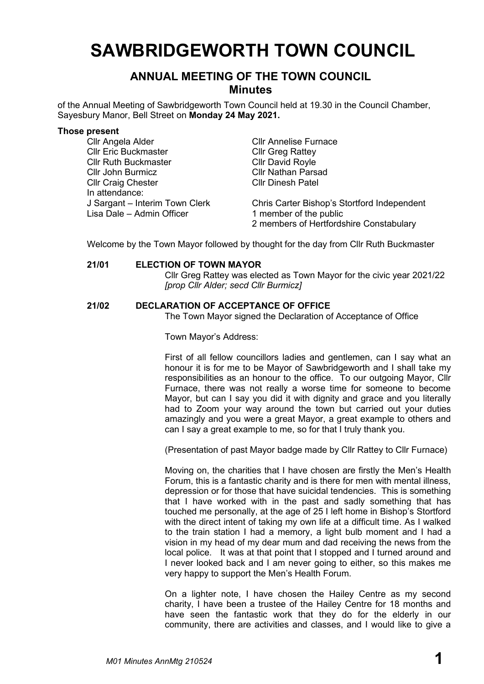# **SAWBRIDGEWORTH TOWN COUNCIL**

# **ANNUAL MEETING OF THE TOWN COUNCIL Minutes**

of the Annual Meeting of Sawbridgeworth Town Council held at 19.30 in the Council Chamber, Sayesbury Manor, Bell Street on **Monday 24 May 2021.**

#### **Those present**

| Cllr Angela Alder              | <b>CIIr Annelise Furnace</b>                |
|--------------------------------|---------------------------------------------|
| <b>Cllr Eric Buckmaster</b>    | <b>CIIr Greg Rattey</b>                     |
| <b>Cllr Ruth Buckmaster</b>    | <b>CIIr David Royle</b>                     |
| <b>Cllr John Burmicz</b>       | <b>Cllr Nathan Parsad</b>                   |
| <b>Cllr Craig Chester</b>      | <b>CIIr Dinesh Patel</b>                    |
| In attendance:                 |                                             |
| J Sargant – Interim Town Clerk | Chris Carter Bishop's Stortford Independent |
| Lisa Dale - Admin Officer      | 1 member of the public                      |
|                                | 2 members of Hertfordshire Constabulary     |

Welcome by the Town Mayor followed by thought for the day from Cllr Ruth Buckmaster

#### **21/01 ELECTION OF TOWN MAYOR**

Cllr Greg Rattey was elected as Town Mayor for the civic year 2021/22 *[prop Cllr Alder; secd Cllr Burmicz]*

#### **21/02 DECLARATION OF ACCEPTANCE OF OFFICE**

The Town Mayor signed the Declaration of Acceptance of Office

Town Mayor's Address:

First of all fellow councillors ladies and gentlemen, can I say what an honour it is for me to be Mayor of Sawbridgeworth and I shall take my responsibilities as an honour to the office. To our outgoing Mayor, Cllr Furnace, there was not really a worse time for someone to become Mayor, but can I say you did it with dignity and grace and you literally had to Zoom your way around the town but carried out your duties amazingly and you were a great Mayor, a great example to others and can I say a great example to me, so for that I truly thank you.

(Presentation of past Mayor badge made by Cllr Rattey to Cllr Furnace)

Moving on, the charities that I have chosen are firstly the Men's Health Forum, this is a fantastic charity and is there for men with mental illness, depression or for those that have suicidal tendencies. This is something that I have worked with in the past and sadly something that has touched me personally, at the age of 25 I left home in Bishop's Stortford with the direct intent of taking my own life at a difficult time. As I walked to the train station I had a memory, a light bulb moment and I had a vision in my head of my dear mum and dad receiving the news from the local police. It was at that point that I stopped and I turned around and I never looked back and I am never going to either, so this makes me very happy to support the Men's Health Forum.

On a lighter note, I have chosen the Hailey Centre as my second charity, I have been a trustee of the Hailey Centre for 18 months and have seen the fantastic work that they do for the elderly in our community, there are activities and classes, and I would like to give a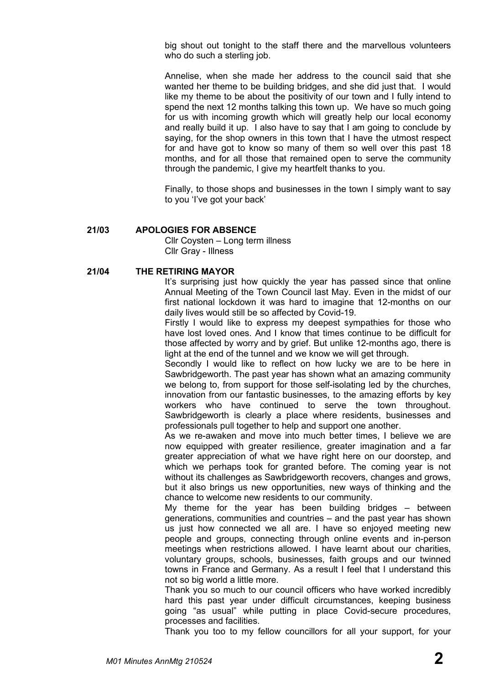big shout out tonight to the staff there and the marvellous volunteers who do such a sterling job.

Annelise, when she made her address to the council said that she wanted her theme to be building bridges, and she did just that. I would like my theme to be about the positivity of our town and I fully intend to spend the next 12 months talking this town up. We have so much going for us with incoming growth which will greatly help our local economy and really build it up. I also have to say that I am going to conclude by saying, for the shop owners in this town that I have the utmost respect for and have got to know so many of them so well over this past 18 months, and for all those that remained open to serve the community through the pandemic, I give my heartfelt thanks to you.

Finally, to those shops and businesses in the town I simply want to say to you 'I've got your back'

#### **21/03 APOLOGIES FOR ABSENCE**

Cllr Coysten – Long term illness Cllr Gray - Illness

#### **21/04 THE RETIRING MAYOR**

It's surprising just how quickly the year has passed since that online Annual Meeting of the Town Council last May. Even in the midst of our first national lockdown it was hard to imagine that 12-months on our daily lives would still be so affected by Covid-19.

Firstly I would like to express my deepest sympathies for those who have lost loved ones. And I know that times continue to be difficult for those affected by worry and by grief. But unlike 12-months ago, there is light at the end of the tunnel and we know we will get through.

Secondly I would like to reflect on how lucky we are to be here in Sawbridgeworth. The past year has shown what an amazing community we belong to, from support for those self-isolating led by the churches, innovation from our fantastic businesses, to the amazing efforts by key workers who have continued to serve the town throughout. Sawbridgeworth is clearly a place where residents, businesses and professionals pull together to help and support one another.

As we re-awaken and move into much better times, I believe we are now equipped with greater resilience, greater imagination and a far greater appreciation of what we have right here on our doorstep, and which we perhaps took for granted before. The coming year is not without its challenges as Sawbridgeworth recovers, changes and grows, but it also brings us new opportunities, new ways of thinking and the chance to welcome new residents to our community.

My theme for the year has been building bridges – between generations, communities and countries – and the past year has shown us just how connected we all are. I have so enjoyed meeting new people and groups, connecting through online events and in-person meetings when restrictions allowed. I have learnt about our charities, voluntary groups, schools, businesses, faith groups and our twinned towns in France and Germany. As a result I feel that I understand this not so big world a little more.

Thank you so much to our council officers who have worked incredibly hard this past year under difficult circumstances, keeping business going "as usual" while putting in place Covid-secure procedures, processes and facilities.

Thank you too to my fellow councillors for all your support, for your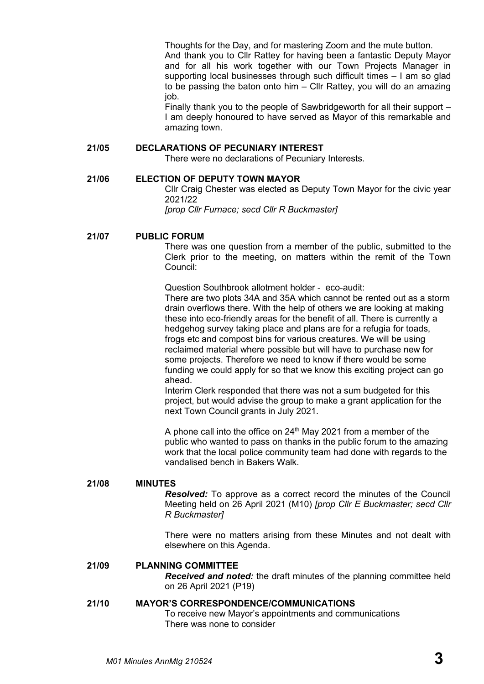Thoughts for the Day, and for mastering Zoom and the mute button.

And thank you to Cllr Rattey for having been a fantastic Deputy Mayor and for all his work together with our Town Projects Manager in supporting local businesses through such difficult times – I am so glad to be passing the baton onto him – Cllr Rattey, you will do an amazing job.

Finally thank you to the people of Sawbridgeworth for all their support – I am deeply honoured to have served as Mayor of this remarkable and amazing town.

# **21/05 DECLARATIONS OF PECUNIARY INTEREST**

There were no declarations of Pecuniary Interests.

#### **21/06 ELECTION OF DEPUTY TOWN MAYOR**

Cllr Craig Chester was elected as Deputy Town Mayor for the civic year 2021/22

*[prop Cllr Furnace; secd Cllr R Buckmaster]*

#### **21/07 PUBLIC FORUM**

There was one question from a member of the public, submitted to the Clerk prior to the meeting, on matters within the remit of the Town Council:

Question Southbrook allotment holder - eco-audit:

There are two plots 34A and 35A which cannot be rented out as a storm drain overflows there. With the help of others we are looking at making these into eco-friendly areas for the benefit of all. There is currently a hedgehog survey taking place and plans are for a refugia for toads, frogs etc and compost bins for various creatures. We will be using reclaimed material where possible but will have to purchase new for some projects. Therefore we need to know if there would be some funding we could apply for so that we know this exciting project can go ahead.

Interim Clerk responded that there was not a sum budgeted for this project, but would advise the group to make a grant application for the next Town Council grants in July 2021.

A phone call into the office on  $24<sup>th</sup>$  May 2021 from a member of the public who wanted to pass on thanks in the public forum to the amazing work that the local police community team had done with regards to the vandalised bench in Bakers Walk.

#### **21/08 MINUTES**

*Resolved:* To approve as a correct record the minutes of the Council Meeting held on 26 April 2021 (M10) *[prop Cllr E Buckmaster; secd Cllr R Buckmaster]*

There were no matters arising from these Minutes and not dealt with elsewhere on this Agenda.

#### **21/09 PLANNING COMMITTEE**

*Received and noted:* the draft minutes of the planning committee held on 26 April 2021 (P19)

#### **21/10 MAYOR'S CORRESPONDENCE/COMMUNICATIONS**

To receive new Mayor's appointments and communications There was none to consider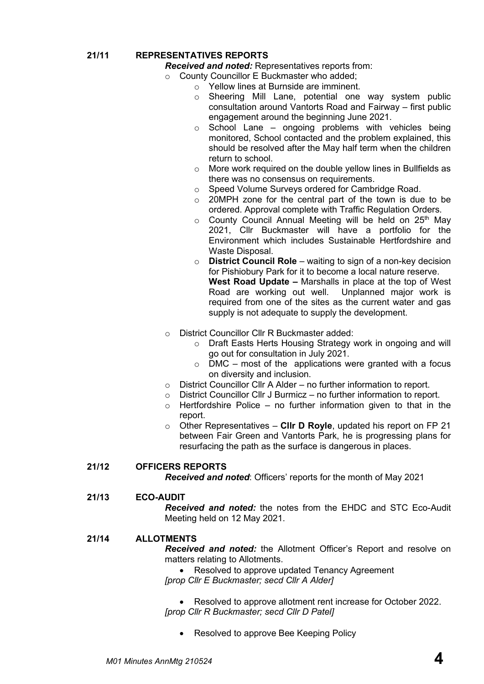**21/11 REPRESENTATIVES REPORTS**

*Received and noted:* Representatives reports from:

- o County Councillor E Buckmaster who added;
	- o Yellow lines at Burnside are imminent.
	- o Sheering Mill Lane, potential one way system public consultation around Vantorts Road and Fairway – first public engagement around the beginning June 2021.
	- $\circ$  School Lane ongoing problems with vehicles being monitored, School contacted and the problem explained, this should be resolved after the May half term when the children return to school.
	- o More work required on the double yellow lines in Bullfields as there was no consensus on requirements.
	- o Speed Volume Surveys ordered for Cambridge Road.
	- o 20MPH zone for the central part of the town is due to be ordered. Approval complete with Traffic Regulation Orders.
	- o County Council Annual Meeting will be held on 25<sup>th</sup> May 2021, Cllr Buckmaster will have a portfolio for the Environment which includes Sustainable Hertfordshire and Waste Disposal.
	- o **District Council Role** waiting to sign of a non-key decision for Pishiobury Park for it to become a local nature reserve. **West Road Update –** Marshalls in place at the top of West Road are working out well. Unplanned major work is required from one of the sites as the current water and gas supply is not adequate to supply the development.
- o District Councillor Cllr R Buckmaster added:
	- o Draft Easts Herts Housing Strategy work in ongoing and will go out for consultation in July 2021.
	- $\circ$  DMC most of the applications were granted with a focus on diversity and inclusion.
- o District Councillor Cllr A Alder no further information to report.
- $\circ$  District Councillor Cllr J Burmicz no further information to report.
- $\circ$  Hertfordshire Police no further information given to that in the report.
- o Other Representatives **Cllr D Royle**, updated his report on FP 21 between Fair Green and Vantorts Park, he is progressing plans for resurfacing the path as the surface is dangerous in places.

# **21/12 OFFICERS REPORTS**

*Received and noted*: Officers' reports for the month of May 2021

# **21/13 ECO-AUDIT**

*Received and noted:* the notes from the EHDC and STC Eco-Audit Meeting held on 12 May 2021.

# **21/14 ALLOTMENTS**

*Received and noted:* the Allotment Officer's Report and resolve on matters relating to Allotments.

• Resolved to approve updated Tenancy Agreement *[prop Cllr E Buckmaster; secd Cllr A Alder]*

• Resolved to approve allotment rent increase for October 2022. *[prop Cllr R Buckmaster; secd Cllr D Patel]*

• Resolved to approve Bee Keeping Policy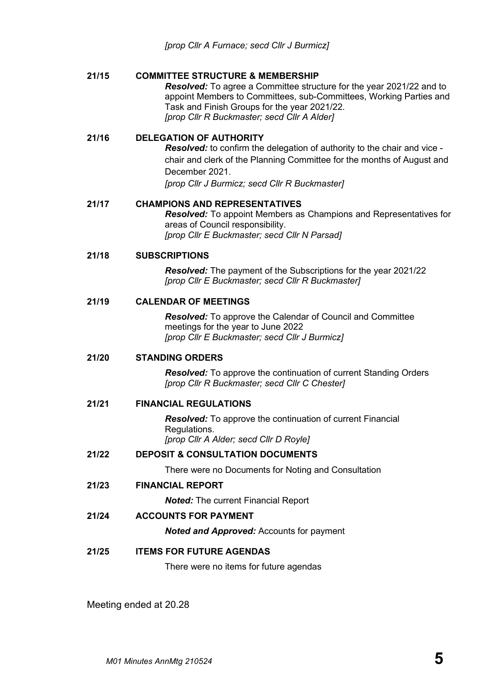# **21/15 COMMITTEE STRUCTURE & MEMBERSHIP**

*Resolved:* To agree a Committee structure for the year 2021/22 and to appoint Members to Committees, sub-Committees, Working Parties and Task and Finish Groups for the year 2021/22. *[prop Cllr R Buckmaster; secd Cllr A Alder]*

# **21/16 DELEGATION OF AUTHORITY**

*Resolved:* to confirm the delegation of authority to the chair and vice chair and clerk of the Planning Committee for the months of August and December 2021. *[prop Cllr J Burmicz; secd Cllr R Buckmaster]*

# **21/17 CHAMPIONS AND REPRESENTATIVES**

*Resolved:* To appoint Members as Champions and Representatives for areas of Council responsibility. *[prop Cllr E Buckmaster; secd Cllr N Parsad]*

# **21/18 SUBSCRIPTIONS**

*Resolved:* The payment of the Subscriptions for the year 2021/22 *[prop Cllr E Buckmaster; secd Cllr R Buckmaster]*

# **21/19 CALENDAR OF MEETINGS**

*Resolved:* To approve the Calendar of Council and Committee meetings for the year to June 2022 *[prop Cllr E Buckmaster; secd Cllr J Burmicz]*

# **21/20 STANDING ORDERS**

*Resolved:* To approve the continuation of current Standing Orders *[prop Cllr R Buckmaster; secd Cllr C Chester]*

# **21/21 FINANCIAL REGULATIONS**

*Resolved:* To approve the continuation of current Financial Regulations. *[prop Cllr A Alder; secd Cllr D Royle]*

# **21/22 DEPOSIT & CONSULTATION DOCUMENTS**

There were no Documents for Noting and Consultation

**21/23 FINANCIAL REPORT**

*Noted:* The current Financial Report

**21/24 ACCOUNTS FOR PAYMENT**

*Noted and Approved:* Accounts for payment

# **21/25 ITEMS FOR FUTURE AGENDAS**

There were no items for future agendas

Meeting ended at 20.28